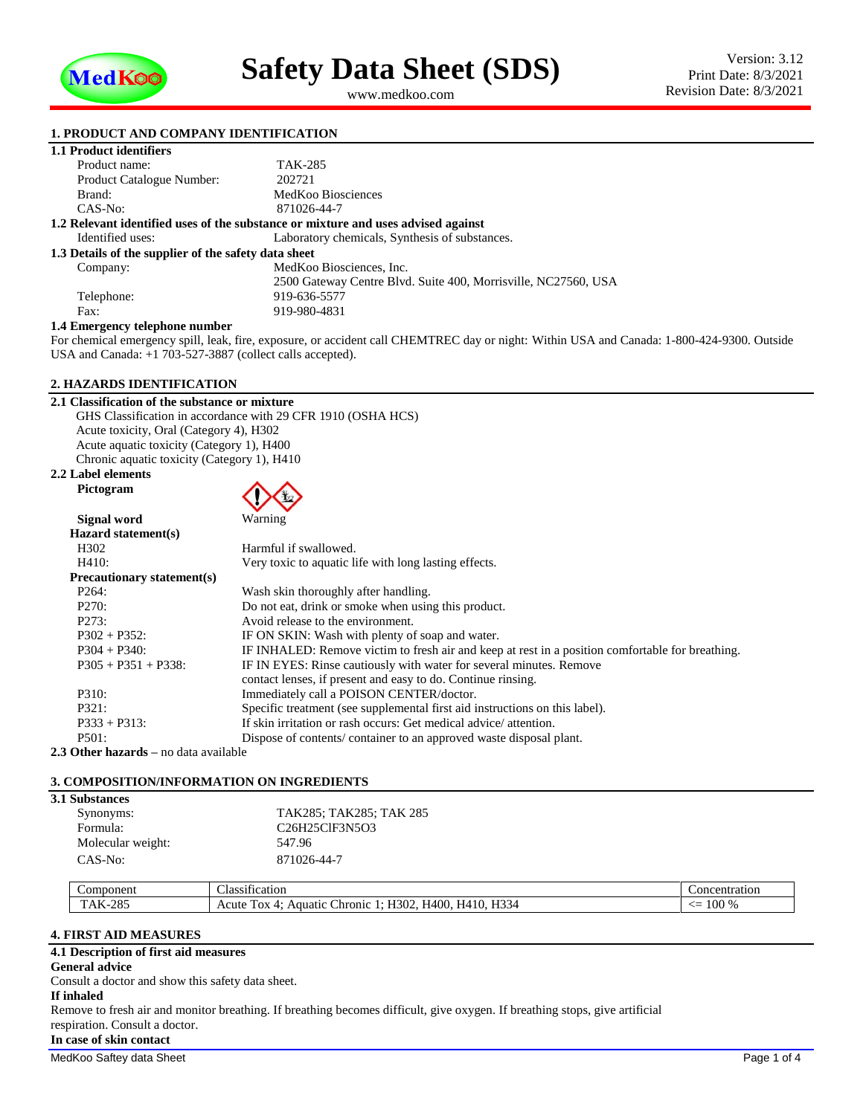

<span id="page-0-1"></span><span id="page-0-0"></span>www.medkoo.com

## **1. PRODUCT AND COMPANY IDENTIFICATION**

|  |  | <b>1.1 Product identifiers</b> |  |
|--|--|--------------------------------|--|
|--|--|--------------------------------|--|

| Product name:                                        | TAK-285                                                                           |
|------------------------------------------------------|-----------------------------------------------------------------------------------|
| Product Catalogue Number:                            | 202721                                                                            |
| Brand:                                               | MedKoo Biosciences                                                                |
| $CAS-No:$                                            | 871026-44-7                                                                       |
|                                                      | 1.2 Relevant identified uses of the substance or mixture and uses advised against |
| Identified uses:                                     | Laboratory chemicals, Synthesis of substances.                                    |
| 1.3 Details of the supplier of the safety data sheet |                                                                                   |
| Company:                                             | MedKoo Biosciences, Inc.                                                          |
|                                                      | 2500 Gateway Centre Blvd. Suite 400, Morrisville, NC27560, USA                    |
| Telephone:                                           | 919-636-5577                                                                      |
| Fax:                                                 | 919-980-4831                                                                      |
|                                                      |                                                                                   |

#### **1.4 Emergency telephone number**

For chemical emergency spill, leak, fire, exposure, or accident call CHEMTREC day or night: Within USA and Canada: 1-800-424-9300. Outside USA and Canada: +1 703-527-3887 (collect calls accepted).

# **2. HAZARDS IDENTIFICATION**

| 2.1 Classification of the substance or mixture               |
|--------------------------------------------------------------|
| GHS Classification in accordance with 29 CFR 1910 (OSHA HCS) |
| Acute toxicity, Oral (Category 4), H302                      |
| Acute aguatic toxicity (Category 1), H400                    |
| Chronic aquatic toxicity (Category 1), H410                  |

### **2.2 Label elements Pictogram**



| Signal word                       | Warning                                                                                          |
|-----------------------------------|--------------------------------------------------------------------------------------------------|
| Hazard statement(s)               |                                                                                                  |
| H <sub>3</sub> 02                 | Harmful if swallowed.                                                                            |
| H410:                             | Very toxic to aquatic life with long lasting effects.                                            |
| <b>Precautionary statement(s)</b> |                                                                                                  |
| P <sub>264</sub> :                | Wash skin thoroughly after handling.                                                             |
| P270:                             | Do not eat, drink or smoke when using this product.                                              |
| P273:                             | Avoid release to the environment.                                                                |
| $P302 + P352$ :                   | IF ON SKIN: Wash with plenty of soap and water.                                                  |
| $P304 + P340$ :                   | IF INHALED: Remove victim to fresh air and keep at rest in a position comfortable for breathing. |
| $P305 + P351 + P338$ :            | IF IN EYES: Rinse cautiously with water for several minutes. Remove                              |
|                                   | contact lenses, if present and easy to do. Continue rinsing.                                     |
| P310:                             | Immediately call a POISON CENTER/doctor.                                                         |
| P321:                             | Specific treatment (see supplemental first aid instructions on this label).                      |
| $P333 + P313$ :                   | If skin irritation or rash occurs: Get medical advice/attention.                                 |
| P501:                             | Dispose of contents/container to an approved waste disposal plant.                               |

**2.3 Other hazards –** no data available

# **3. COMPOSITION/INFORMATION ON INGREDIENTS**

| <b>3.1 Substances</b> |                         |  |
|-----------------------|-------------------------|--|
| Synonyms:             | TAK285; TAK285; TAK 285 |  |
| Formula:              | C26H25ClF3N5O3          |  |
| Molecular weight:     | 547.96                  |  |
| CAS-No:               | 871026-44-7             |  |

| ∠omponent                                      | $\cdot$ $\sim$<br>$\sim$<br>lassification                                                                                                                   | Concentration                                                      |
|------------------------------------------------|-------------------------------------------------------------------------------------------------------------------------------------------------------------|--------------------------------------------------------------------|
| $\cap$<br>AK<br>$\sim$<br>دە 2<br>. . <b>.</b> | $T$ $T$ $T$<br>T<br>$\sim$<br>$  -$<br>H400<br>$\sim$<br>$\overline{\phantom{a}}$<br>30<br>Acute<br>Tox<br>.hronic<br>н<br>. Aquatıc<br><b>11334</b><br>. . | $\sim$<br>$\sim$<br>--<br>$\mathcal{L}/\mathcal{L}$<br>1 VV<br>7 U |

# **4. FIRST AID MEASURES**

# **4.1 Description of first aid measures**

**General advice**

Consult a doctor and show this safety data sheet.

# **If inhaled**

Remove to fresh air and monitor breathing. If breathing becomes difficult, give oxygen. If breathing stops, give artificial respiration. Consult a doctor.

# **In case of skin contact**

MedKoo Saftey data Sheet Page 1 of 4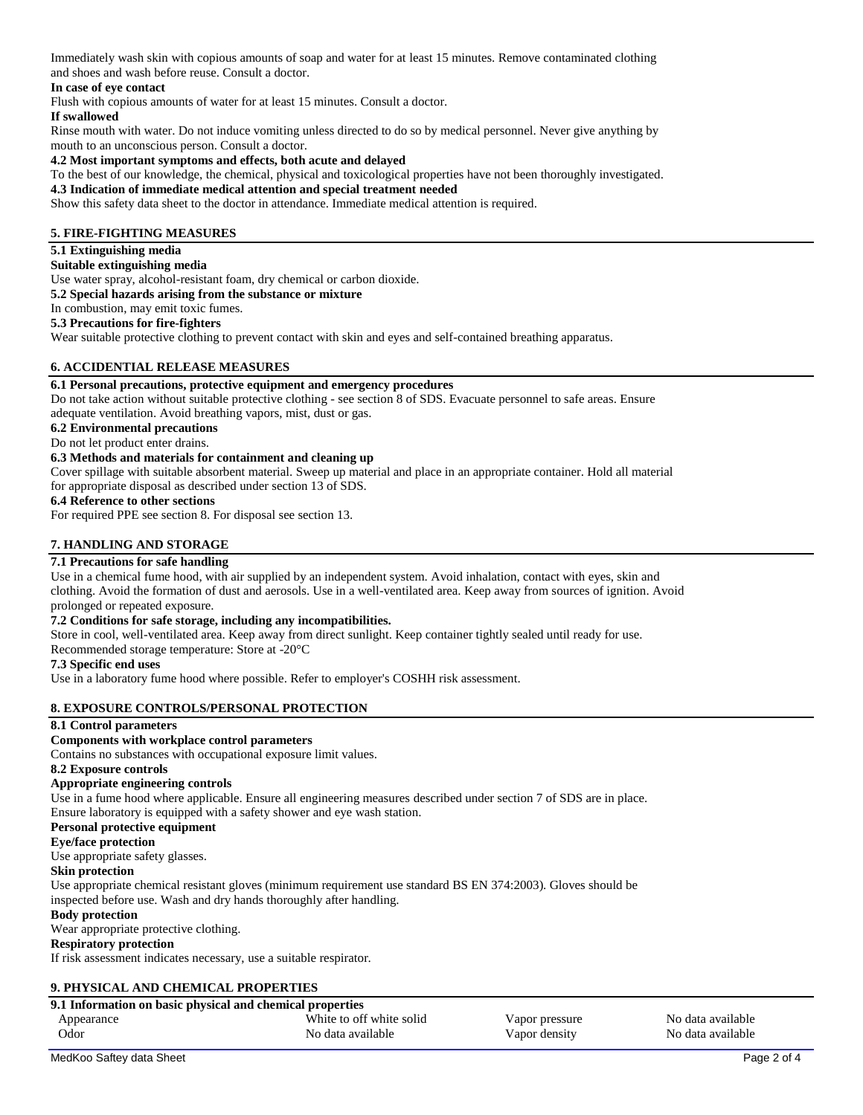Immediately wash skin with copious amounts of soap and water for at least 15 minutes. Remove contaminated clothing and shoes and wash before reuse. Consult a doctor.

## **In case of eye contact**

Flush with copious amounts of water for at least 15 minutes. Consult a doctor.

#### **If swallowed**

Rinse mouth with water. Do not induce vomiting unless directed to do so by medical personnel. Never give anything by mouth to an unconscious person. Consult a doctor.

## **4.2 Most important symptoms and effects, both acute and delayed**

To the best of our knowledge, the chemical, physical and toxicological properties have not been thoroughly investigated.

## **4.3 Indication of immediate medical attention and special treatment needed**

Show this safety data sheet to the doctor in attendance. Immediate medical attention is required.

## **5. FIRE-FIGHTING MEASURES**

## **5.1 Extinguishing media**

# **Suitable extinguishing media**

Use water spray, alcohol-resistant foam, dry chemical or carbon dioxide.

**5.2 Special hazards arising from the substance or mixture**

In combustion, may emit toxic fumes.

## **5.3 Precautions for fire-fighters**

Wear suitable protective clothing to prevent contact with skin and eyes and self-contained breathing apparatus.

# **6. ACCIDENTIAL RELEASE MEASURES**

#### **6.1 Personal precautions, protective equipment and emergency procedures**

Do not take action without suitable protective clothing - see section 8 of SDS. Evacuate personnel to safe areas. Ensure adequate ventilation. Avoid breathing vapors, mist, dust or gas.

# **6.2 Environmental precautions**

# Do not let product enter drains.

## **6.3 Methods and materials for containment and cleaning up**

Cover spillage with suitable absorbent material. Sweep up material and place in an appropriate container. Hold all material for appropriate disposal as described under section 13 of SDS.

## **6.4 Reference to other sections**

For required PPE see section 8. For disposal see section 13.

## **7. HANDLING AND STORAGE**

# **7.1 Precautions for safe handling**

Use in a chemical fume hood, with air supplied by an independent system. Avoid inhalation, contact with eyes, skin and clothing. Avoid the formation of dust and aerosols. Use in a well-ventilated area. Keep away from sources of ignition. Avoid prolonged or repeated exposure.

### **7.2 Conditions for safe storage, including any incompatibilities.**

Store in cool, well-ventilated area. Keep away from direct sunlight. Keep container tightly sealed until ready for use.

Recommended storage temperature: Store at -20°C

## **7.3 Specific end uses**

Use in a laboratory fume hood where possible. Refer to employer's COSHH risk assessment.

#### **8. EXPOSURE CONTROLS/PERSONAL PROTECTION**

#### **8.1 Control parameters**

**Components with workplace control parameters**

Contains no substances with occupational exposure limit values.

## **8.2 Exposure controls**

#### **Appropriate engineering controls**

Use in a fume hood where applicable. Ensure all engineering measures described under section 7 of SDS are in place. Ensure laboratory is equipped with a safety shower and eye wash station.

# **Personal protective equipment**

# **Eye/face protection**

Use appropriate safety glasses.

#### **Skin protection**

Use appropriate chemical resistant gloves (minimum requirement use standard BS EN 374:2003). Gloves should be inspected before use. Wash and dry hands thoroughly after handling.

#### **Body protection**

Wear appropriate protective clothing.

## **Respiratory protection**

If risk assessment indicates necessary, use a suitable respirator.

# **9. PHYSICAL AND CHEMICAL PROPERTIES**

| 9.1 Information on basic physical and chemical properties |                                               |                                 |                                        |
|-----------------------------------------------------------|-----------------------------------------------|---------------------------------|----------------------------------------|
| Appearance<br>Odor                                        | White to off white solid<br>No data available | Vapor pressure<br>Vapor density | No data available<br>No data available |
|                                                           |                                               |                                 |                                        |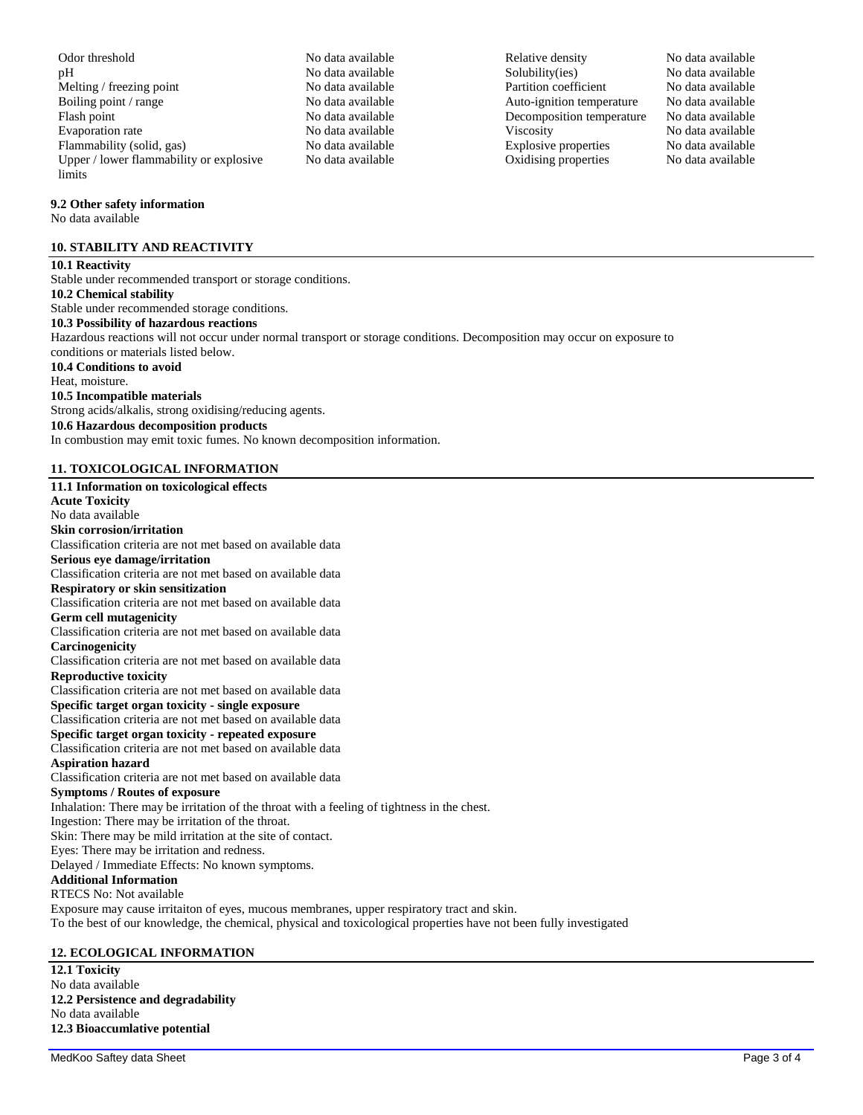Odor threshold No data available No data available Relative density No data available pH No data available Solubility(ies) No data available Melting / freezing point No data available Partition coefficient No data available Boiling point / range  $\blacksquare$  No data available  $\blacksquare$  Auto-ignition temperature No data available Flash point No data available No data available Decomposition temperature No data available Evaporation rate No data available Viscosity No data available Flammability (solid, gas) No data available Explosive properties No data available Upper / lower flammability or explosive limits

## **9.2 Other safety information**

No data available

# **10. STABILITY AND REACTIVITY**

### **10.1 Reactivity** Stable under recommended transport or storage conditions. **10.2 Chemical stability** Stable under recommended storage conditions. **10.3 Possibility of hazardous reactions** Hazardous reactions will not occur under normal transport or storage conditions. Decomposition may occur on exposure to conditions or materials listed below. **10.4 Conditions to avoid** Heat, moisture. **10.5 Incompatible materials** Strong acids/alkalis, strong oxidising/reducing agents. **10.6 Hazardous decomposition products** In combustion may emit toxic fumes. No known decomposition information.

# **11. TOXICOLOGICAL INFORMATION**

## **11.1 Information on toxicological effects Acute Toxicity** No data available **Skin corrosion/irritation** Classification criteria are not met based on available data **Serious eye damage/irritation** Classification criteria are not met based on available data **Respiratory or skin sensitization** Classification criteria are not met based on available data **Germ cell mutagenicity** Classification criteria are not met based on available data **Carcinogenicity** Classification criteria are not met based on available data **Reproductive toxicity** Classification criteria are not met based on available data **Specific target organ toxicity - single exposure** Classification criteria are not met based on available data **Specific target organ toxicity - repeated exposure** Classification criteria are not met based on available data **Aspiration hazard** Classification criteria are not met based on available data **Symptoms / Routes of exposure** Inhalation: There may be irritation of the throat with a feeling of tightness in the chest. Ingestion: There may be irritation of the throat. Skin: There may be mild irritation at the site of contact. Eyes: There may be irritation and redness. Delayed / Immediate Effects: No known symptoms. **Additional Information** RTECS No: Not available Exposure may cause irritaiton of eyes, mucous membranes, upper respiratory tract and skin. To the best of our knowledge, the chemical, physical and toxicological properties have not been fully investigated

# **12. ECOLOGICAL INFORMATION**

**12.1 Toxicity** No data available **12.2 Persistence and degradability** No data available **12.3 Bioaccumlative potential**

No data available Coxidising properties No data available